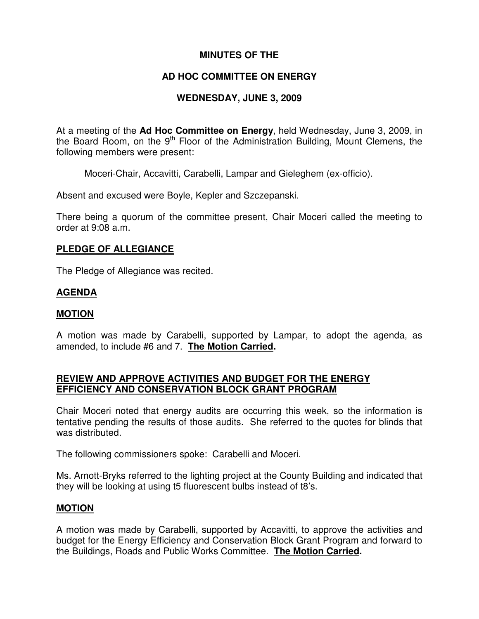# **MINUTES OF THE**

# **AD HOC COMMITTEE ON ENERGY**

# **WEDNESDAY, JUNE 3, 2009**

At a meeting of the **Ad Hoc Committee on Energy**, held Wednesday, June 3, 2009, in the Board Room, on the 9<sup>th</sup> Floor of the Administration Building, Mount Clemens, the following members were present:

Moceri-Chair, Accavitti, Carabelli, Lampar and Gieleghem (ex-officio).

Absent and excused were Boyle, Kepler and Szczepanski.

There being a quorum of the committee present, Chair Moceri called the meeting to order at 9:08 a.m.

#### **PLEDGE OF ALLEGIANCE**

The Pledge of Allegiance was recited.

### **AGENDA**

#### **MOTION**

A motion was made by Carabelli, supported by Lampar, to adopt the agenda, as amended, to include #6 and 7. **The Motion Carried.**

### **REVIEW AND APPROVE ACTIVITIES AND BUDGET FOR THE ENERGY EFFICIENCY AND CONSERVATION BLOCK GRANT PROGRAM**

Chair Moceri noted that energy audits are occurring this week, so the information is tentative pending the results of those audits. She referred to the quotes for blinds that was distributed.

The following commissioners spoke: Carabelli and Moceri.

Ms. Arnott-Bryks referred to the lighting project at the County Building and indicated that they will be looking at using t5 fluorescent bulbs instead of t8's.

### **MOTION**

A motion was made by Carabelli, supported by Accavitti, to approve the activities and budget for the Energy Efficiency and Conservation Block Grant Program and forward to the Buildings, Roads and Public Works Committee. **The Motion Carried.**